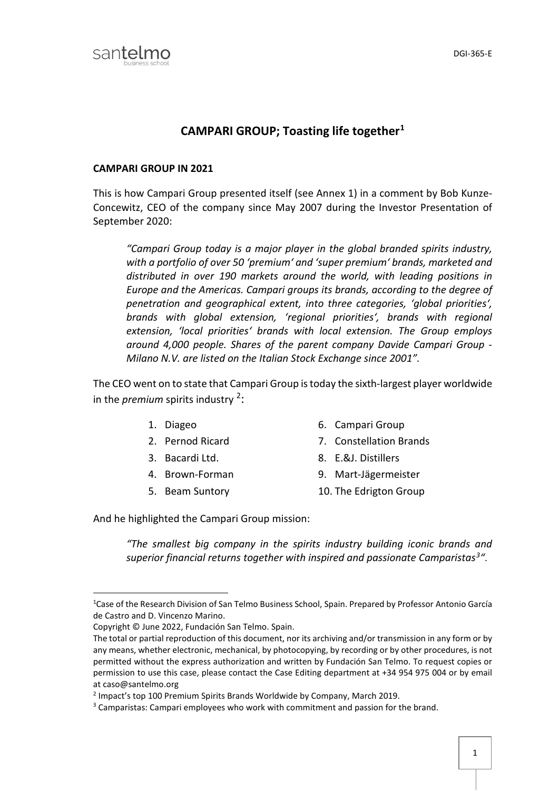

## **CAMPARI GROUP; Toasting life together[1](#page-0-0)**

## **CAMPARI GROUP IN 2021**

This is how Campari Group presented itself (see Annex 1) in a comment by Bob Kunze-Concewitz, CEO of the company since May 2007 during the Investor Presentation of September 2020:

*"Campari Group today is a major player in the global branded spirits industry, with a portfolio of over 50 'premium' and 'super premium' brands, marketed and distributed in over 190 markets around the world, with leading positions in Europe and the Americas. Campari groups its brands, according to the degree of penetration and geographical extent, into three categories, 'global priorities', brands with global extension, 'regional priorities', brands with regional extension, 'local priorities' brands with local extension. The Group employs around 4,000 people. Shares of the parent company Davide Campari Group - Milano N.V. are listed on the Italian Stock Exchange since 2001".*

The CEO went on to state that Campari Group is today the sixth-largest player worldwide in the *premium* spirits industry <sup>[2](#page-0-1)</sup>:

- 
- 
- 
- 
- 
- 1. Diageo 6. Campari Group
- 2. Pernod Ricard 7. Constellation Brands
- 3. Bacardi Ltd. 8. E.&J. Distillers
- 4. Brown-Forman 9. Mart-Jägermeister
- 5. Beam Suntory 10. The Edrigton Group

And he highlighted the Campari Group mission:

*"The smallest big company in the spirits industry building iconic brands and superior financial returns together with inspired and passionate Camparistas[3](#page-0-2)"*.

<span id="page-0-0"></span> $\overline{1}$ <sup>1</sup> Case of the Research Division of San Telmo Business School, Spain. Prepared by Professor Antonio García de Castro and D. Vincenzo Marino.

Copyright © June 2022, Fundación San Telmo. Spain.

The total or partial reproduction of this document, nor its archiving and/or transmission in any form or by any means, whether electronic, mechanical, by photocopying, by recording or by other procedures, is not permitted without the express authorization and written by Fundación San Telmo. To request copies or permission to use this case, please contact the Case Editing department at +34 954 975 004 or by email at caso@santelmo.org

<span id="page-0-1"></span><sup>2</sup> Impact's top 100 Premium Spirits Brands Worldwide by Company, March 2019.

<span id="page-0-2"></span><sup>3</sup> Camparistas: Campari employees who work with commitment and passion for the brand.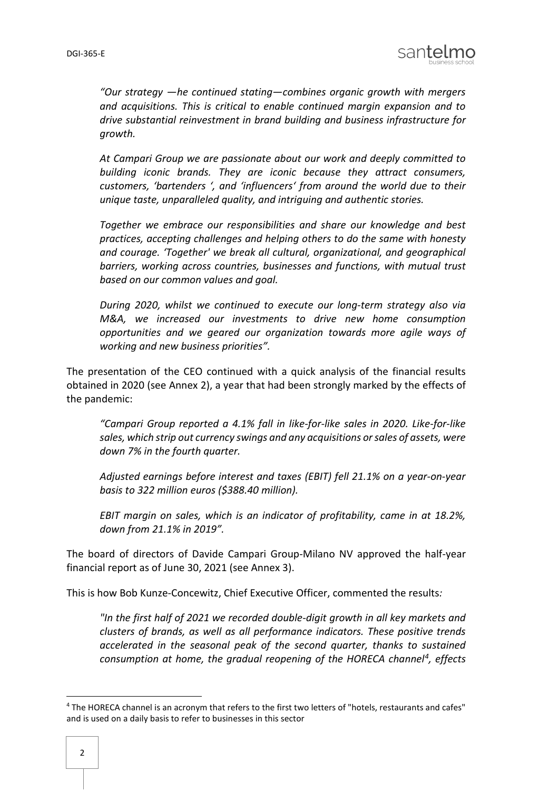

*"Our strategy —he continued stating—combines organic growth with mergers and acquisitions. This is critical to enable continued margin expansion and to drive substantial reinvestment in brand building and business infrastructure for growth.*

*At Campari Group we are passionate about our work and deeply committed to building iconic brands. They are iconic because they attract consumers, customers, 'bartenders ', and 'influencers' from around the world due to their unique taste, unparalleled quality, and intriguing and authentic stories.*

*Together we embrace our responsibilities and share our knowledge and best practices, accepting challenges and helping others to do the same with honesty and courage. 'Together' we break all cultural, organizational, and geographical barriers, working across countries, businesses and functions, with mutual trust based on our common values and goal.*

*During 2020, whilst we continued to execute our long-term strategy also via M&A, we increased our investments to drive new home consumption opportunities and we geared our organization towards more agile ways of working and new business priorities".*

The presentation of the CEO continued with a quick analysis of the financial results obtained in 2020 (see Annex 2), a year that had been strongly marked by the effects of the pandemic:

*"Campari Group reported a 4.1% fall in like-for-like sales in 2020. Like-for-like sales, which strip out currency swings and any acquisitions or sales of assets, were down 7% in the fourth quarter.* 

*Adjusted earnings before interest and taxes (EBIT) fell 21.1% on a year-on-year basis to 322 million euros (\$388.40 million).* 

*EBIT margin on sales, which is an indicator of profitability, came in at 18.2%, down from 21.1% in 2019".*

The board of directors of Davide Campari Group-Milano NV approved the half-year financial report as of June 30, 2021 (see Annex 3).

This is how Bob Kunze-Concewitz, Chief Executive Officer, commented the results*:* 

*"In the first half of 2021 we recorded double-digit growth in all key markets and clusters of brands, as well as all performance indicators. These positive trends accelerated in the seasonal peak of the second quarter, thanks to sustained consumption at home, the gradual reopening of the HORECA channel[4,](#page-1-0) effects* 

<span id="page-1-0"></span> <sup>4</sup> The HORECA channel is an acronym that refers to the first two letters of "hotels, restaurants and cafes" and is used on a daily basis to refer to businesses in this sector